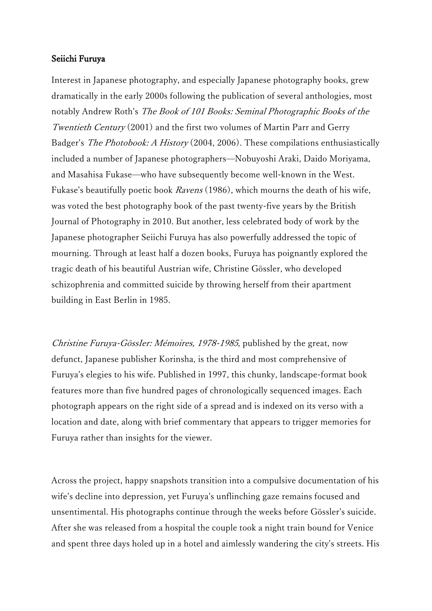## Seiichi Furuya

Interest in Japanese photography, and especially Japanese photography books, grew dramatically in the early 2000s following the publication of several anthologies, most notably Andrew Roth's The Book of 101 Books: Seminal Photographic Books of the Twentieth Century (2001) and the first two volumes of Martin Parr and Gerry Badger's The Photobook: A History (2004, 2006). These compilations enthusiastically included a number of Japanese photographers—Nobuyoshi Araki, Daido Moriyama, and Masahisa Fukase—who have subsequently become well-known in the West. Fukase's beautifully poetic book Ravens (1986), which mourns the death of his wife, was voted the best photography book of the past twenty-five years by the British Journal of Photography in 2010. But another, less celebrated body of work by the Japanese photographer Seiichi Furuya has also powerfully addressed the topic of mourning. Through at least half a dozen books, Furuya has poignantly explored the tragic death of his beautiful Austrian wife, Christine Gössler, who developed schizophrenia and committed suicide by throwing herself from their apartment building in East Berlin in 1985.

Christine Furuya-GössIer: Mémoires, 1978-1985, published by the great, now defunct, Japanese publisher Korinsha, is the third and most comprehensive of Furuya's elegies to his wife. Published in 1997, this chunky, landscape-format book features more than five hundred pages of chronologically sequenced images. Each photograph appears on the right side of a spread and is indexed on its verso with a location and date, along with brief commentary that appears to trigger memories for Furuya rather than insights for the viewer.

Across the project, happy snapshots transition into a compulsive documentation of his wife's decline into depression, yet Furuya's unflinching gaze remains focused and unsentimental. His photographs continue through the weeks before Gössler's suicide. After she was released from a hospital the couple took a night train bound for Venice and spent three days holed up in a hotel and aimlessly wandering the city's streets. His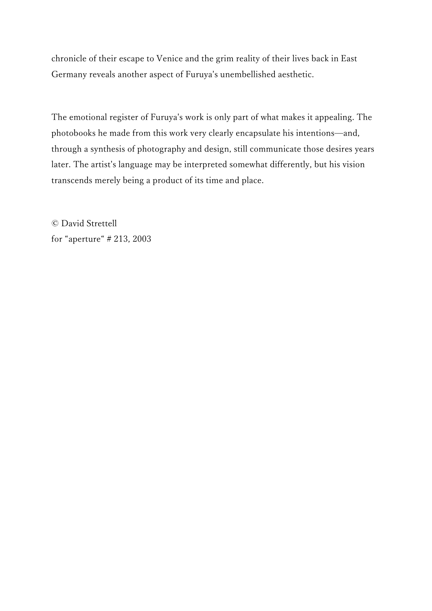chronicle of their escape to Venice and the grim reality of their lives back in East Germany reveals another aspect of Furuya's unembellished aesthetic.

The emotional register of Furuya's work is only part of what makes it appealing. The photobooks he made from this work very clearly encapsulate his intentions—and, through a synthesis of photography and design, still communicate those desires years later. The artist's language may be interpreted somewhat differently, but his vision transcends merely being a product of its time and place.

© David Strettell for "aperture" # 213, 2003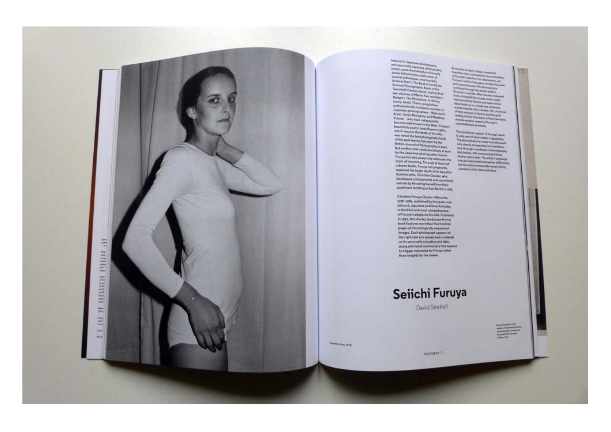

Inclusions in Japaneses photographs<br>and expectating Japaneses photographs<br>and expectating Japaneses photographs<br>including the mail of the matrix of the main state of the matrix<br>present parameter and the main state of the Andrews Director The Book of Jay Book<br>Templet Photographic Books of the<br>Templetarist Caroling (Scott) and the Tree Internal<br>Templetarist and Martin Park and Control<br>Badger's The Photodoxic A History (2004, 2005). These completions Japanese photographers - Noboycels Fulcase - who have subsequently<br>become well-known in the West, Fulcase's beautifully postic book Rovers (1984). which mourns the death of his wife. was usted the best photography book and the past twenty five years by the<br>British Journal of Photography in zone.<br>But another, less coloinvited looky of work by the Japanese photographer Selichi Furuya has also powerfully informed the topic of mounting. Through at least half a dezen books, Funeya has polignantly explored the tragic death of his beautiful. Austrian wife, Christine Gossler, who developed schizophrania and committed suicide by throwing herself from their apartment building in East Berlin In 1985.

> Christine Furuyo Góssler, Mámoires, 1978-2985, published by the great, now defunct, Japanese publisher Korinsha. is the third and most comprehensive of Funya's elegies to his wife. Published In 1997, this chunky, landscape format book features more than fire hundred pages of chronologically sequenced images. Each photograph appears se. the right side of a spread and is indexed on its verso with a location and date, along with brief commentary that appears to trigger memories for Funnya rather than insights for the viewer.

Across the project, hairpy imajobus Transition between a computation discovered and<br>of his softe's desides with disposition, yet **Europe's collections plans movements Common Screenily the weeks feeling**<br>Common's subtide After the was release Aroun & Receptibility the complex hook is might.<br>Aroun boound for Ventice and spent throws days holed up in a hotel and similarely mendering the city's streets. His showing of their excepts to Ventor and the grim.<br>reality of their times bank to Cast Germany. remain another separated Funeral's unambellished assituation

The amotheral register of Funcys's work<br>In series part of what makes it appealing The photobooks he made from this work yery clearly annapolisis his intentions and, through a spribacis of photography. and design, will see The artist's Ross<br>design years later. The artist's large-app.<br>may be interpreted surrounded differently. but his vision transcands merely being a product of its time and place.

Seiichi Furuya

David Strettell

**PICTURES (T)** 

**Thermals Great 1978**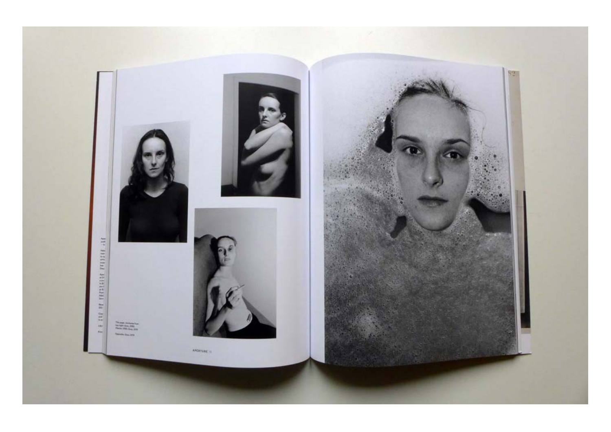